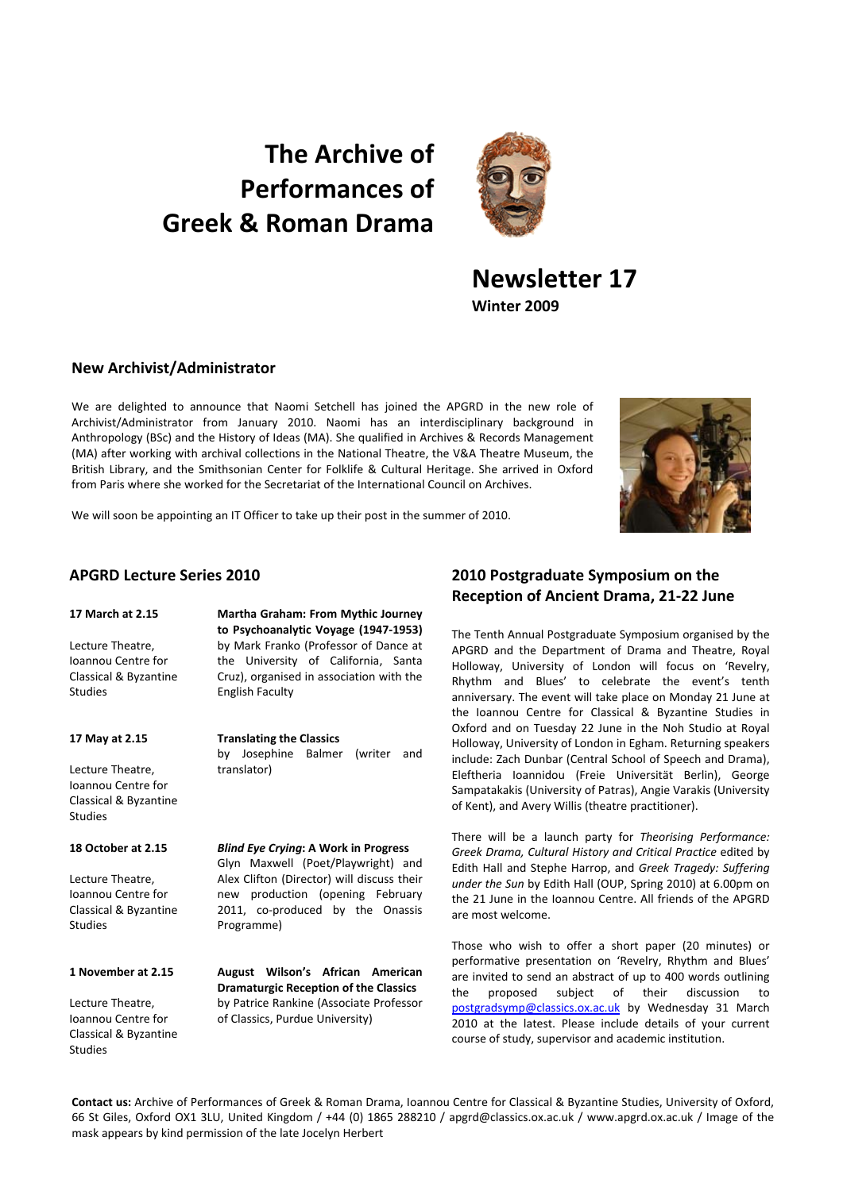# **The Archive of Performances of Greek & Roman Drama**



# **Newsletter 17 Winter 2009**

## **New Archivist/Administrator**

We are delighted to announce that Naomi Setchell has joined the APGRD in the new role of Archivist/Administrator from January 2010. Naomi has an interdisciplinary background in Anthropology (BSc) and the History of Ideas (MA). She qualified in Archives & Records Management (MA) after working with archival collections in the National Theatre, the V&A Theatre Museum, the British Library, and the Smithsonian Center for Folklife & Cultural Heritage. She arrived in Oxford from Paris where she worked for the Secretariat of the International Council on Archives.



We will soon be appointing an IT Officer to take up their post in the summer of 2010.

#### **17 March at 2.15**

Lecture Theatre, Ioannou Centre for Classical & Byzantine Studies

#### **17 May at 2.15**

Lecture Theatre, Ioannou Centre for Classical & Byzantine Studies

### **18 October at 2.15**

Lecture Theatre, Ioannou Centre for Classical & Byzantine Studies

#### **1 November at 2.15**

Lecture Theatre, Ioannou Centre for Classical & Byzantine Studies

**Martha Graham: From Mythic Journey to Psychoanalytic Voyage (1947‐1953)** by Mark Franko (Professor of Dance at the University of California, Santa Cruz), organised in association with the English Faculty

**Translating the Classics** by Josephine Balmer (writer and translator)

*Blind Eye Crying***: A Work in Progress** Glyn Maxwell (Poet/Playwright) and Alex Clifton (Director) will discuss their new production (opening February 2011, co-produced by the Onassis Programme)

**August Wilson's African American Dramaturgic Reception of the Classics** by Patrice Rankine (Associate Professor of Classics, Purdue University)

# **APGRD Lecture Series 2010 2010 Postgraduate Symposium on the Reception of Ancient Drama, 21‐22 June**

The Tenth Annual Postgraduate Symposium organised by the APGRD and the Department of Drama and Theatre, Royal Holloway, University of London will focus on 'Revelry, Rhythm and Blues' to celebrate the event's tenth anniversary. The event will take place on Monday 21 June at the Ioannou Centre for Classical & Byzantine Studies in Oxford and on Tuesday 22 June in the Noh Studio at Royal Holloway, University of London in Egham. Returning speakers include: Zach Dunbar (Central School of Speech and Drama), Eleftheria Ioannidou (Freie Universität Berlin), George Sampatakakis (University of Patras), Angie Varakis (University of Kent), and Avery Willis (theatre practitioner).

There will be a launch party for *Theorising Performance: Greek Drama, Cultural History and Critical Practice* edited by Edith Hall and Stephe Harrop, and *Greek Tragedy: Suffering under the Sun* by Edith Hall (OUP, Spring 2010) at 6.00pm on the 21 June in the Ioannou Centre. All friends of the APGRD are most welcome.

Those who wish to offer a short paper (20 minutes) or performative presentation on 'Revelry, Rhythm and Blues' are invited to send an abstract of up to 400 words outlining the proposed subject of their discussion to postgradsymp@classics.ox.ac.uk by Wednesday 31 March 2010 at the latest. Please include details of your current course of study, supervisor and academic institution.

**Contact us:** Archive of Performances of Greek & Roman Drama, Ioannou Centre for Classical & Byzantine Studies, University of Oxford, 66 St Giles, Oxford OX1 3LU, United Kingdom / +44 (0) 1865 288210 / apgrd@classics.ox.ac.uk / www.apgrd.ox.ac.uk / Image of the mask appears by kind permission of the late Jocelyn Herbert